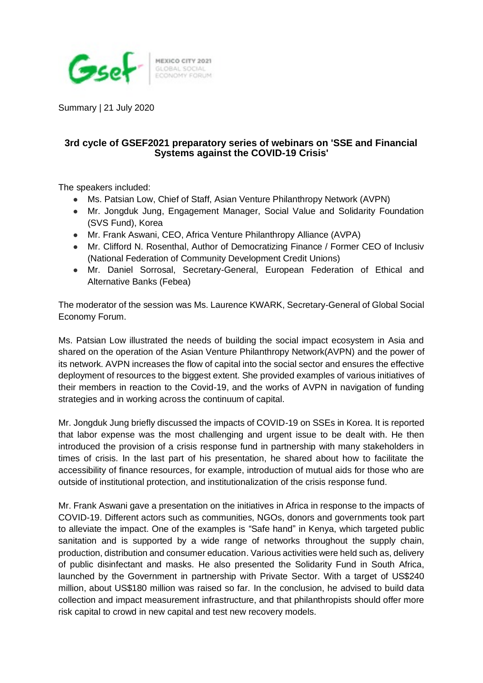

MEXICO CITY 2021<br>GLOBAL SOCIAL<br>ECONOMY FORUM

Summary | 21 July 2020

## **3rd cycle of GSEF2021 preparatory series of webinars on 'SSE and Financial Systems against the COVID-19 Crisis'**

The speakers included:

- Ms. Patsian Low, Chief of Staff, Asian Venture Philanthropy Network (AVPN)
- Mr. Jongduk Jung, Engagement Manager, Social Value and Solidarity Foundation (SVS Fund), Korea
- Mr. Frank Aswani, CEO, Africa Venture Philanthropy Alliance (AVPA)
- Mr. Clifford N. Rosenthal, Author of Democratizing Finance / Former CEO of Inclusiv (National Federation of Community Development Credit Unions)
- Mr. Daniel Sorrosal, Secretary-General, European Federation of Ethical and Alternative Banks (Febea)

The moderator of the session was Ms. Laurence KWARK, Secretary-General of Global Social Economy Forum.

Ms. Patsian Low illustrated the needs of building the social impact ecosystem in Asia and shared on the operation of the Asian Venture Philanthropy Network(AVPN) and the power of its network. AVPN increases the flow of capital into the social sector and ensures the effective deployment of resources to the biggest extent. She provided examples of various initiatives of their members in reaction to the Covid-19, and the works of AVPN in navigation of funding strategies and in working across the continuum of capital.

Mr. Jongduk Jung briefly discussed the impacts of COVID-19 on SSEs in Korea. It is reported that labor expense was the most challenging and urgent issue to be dealt with. He then introduced the provision of a crisis response fund in partnership with many stakeholders in times of crisis. In the last part of his presentation, he shared about how to facilitate the accessibility of finance resources, for example, introduction of mutual aids for those who are outside of institutional protection, and institutionalization of the crisis response fund.

Mr. Frank Aswani gave a presentation on the initiatives in Africa in response to the impacts of COVID-19. Different actors such as communities, NGOs, donors and governments took part to alleviate the impact. One of the examples is "Safe hand" in Kenya, which targeted public sanitation and is supported by a wide range of networks throughout the supply chain, production, distribution and consumer education. Various activities were held such as, delivery of public disinfectant and masks. He also presented the Solidarity Fund in South Africa, launched by the Government in partnership with Private Sector. With a target of US\$240 million, about US\$180 million was raised so far. In the conclusion, he advised to build data collection and impact measurement infrastructure, and that philanthropists should offer more risk capital to crowd in new capital and test new recovery models.